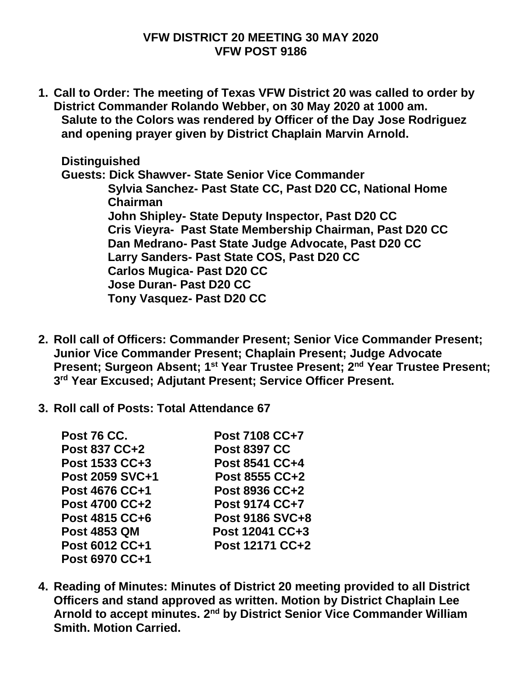## **VFW DISTRICT 20 MEETING 30 MAY 2020 VFW POST 9186**

**1. Call to Order: The meeting of Texas VFW District 20 was called to order by District Commander Rolando Webber, on 30 May 2020 at 1000 am. Salute to the Colors was rendered by Officer of the Day Jose Rodriguez and opening prayer given by District Chaplain Marvin Arnold.**

**Distinguished Guests: Dick Shawver- State Senior Vice Commander Sylvia Sanchez- Past State CC, Past D20 CC, National Home Chairman John Shipley- State Deputy Inspector, Past D20 CC Cris Vieyra- Past State Membership Chairman, Past D20 CC Dan Medrano- Past State Judge Advocate, Past D20 CC Larry Sanders- Past State COS, Past D20 CC Carlos Mugica- Past D20 CC Jose Duran- Past D20 CC Tony Vasquez- Past D20 CC**

- **2. Roll call of Officers: Commander Present; Senior Vice Commander Present; Junior Vice Commander Present; Chaplain Present; Judge Advocate Present; Surgeon Absent; 1st Year Trustee Present; 2nd Year Trustee Present; 3 rd Year Excused; Adjutant Present; Service Officer Present.**
- **3. Roll call of Posts: Total Attendance 67**

| <b>Post 76 CC.</b>               | Post 7108 CC+7                   |
|----------------------------------|----------------------------------|
| Post 837 CC+2                    | <b>Post 8397 CC</b>              |
| Post 1533 CC+3                   | Post 8541 CC+4                   |
| Post 2059 SVC+1                  | Post 8555 CC+2                   |
| Post 4676 CC+1<br>Post 4700 CC+2 | Post 8936 CC+2<br>Post 9174 CC+7 |
|                                  |                                  |
| <b>Post 4853 QM</b>              | Post 12041 CC+3                  |
| Post 6012 CC+1                   | Post 12171 CC+2                  |
| Post 6970 CC+1                   |                                  |

**4. Reading of Minutes: Minutes of District 20 meeting provided to all District Officers and stand approved as written. Motion by District Chaplain Lee Arnold to accept minutes. 2nd by District Senior Vice Commander William Smith. Motion Carried.**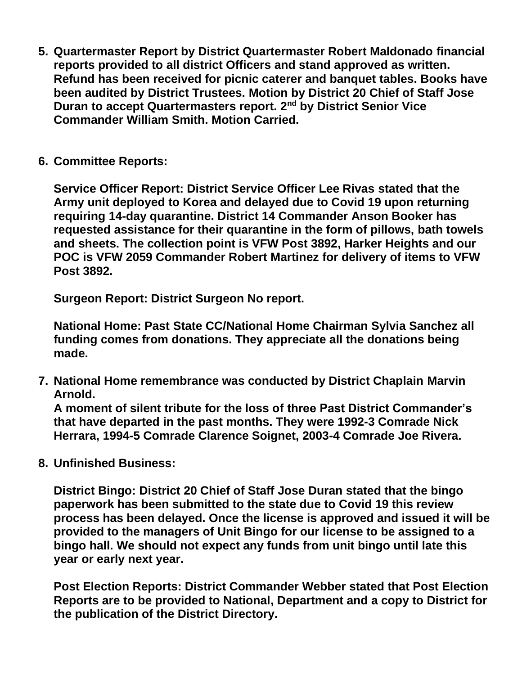- **5. Quartermaster Report by District Quartermaster Robert Maldonado financial reports provided to all district Officers and stand approved as written. Refund has been received for picnic caterer and banquet tables. Books have been audited by District Trustees. Motion by District 20 Chief of Staff Jose Duran to accept Quartermasters report. 2nd by District Senior Vice Commander William Smith. Motion Carried.**
- **6. Committee Reports:**

**Service Officer Report: District Service Officer Lee Rivas stated that the Army unit deployed to Korea and delayed due to Covid 19 upon returning requiring 14-day quarantine. District 14 Commander Anson Booker has requested assistance for their quarantine in the form of pillows, bath towels and sheets. The collection point is VFW Post 3892, Harker Heights and our POC is VFW 2059 Commander Robert Martinez for delivery of items to VFW Post 3892.**

**Surgeon Report: District Surgeon No report.**

**National Home: Past State CC/National Home Chairman Sylvia Sanchez all funding comes from donations. They appreciate all the donations being made.**

**7. National Home remembrance was conducted by District Chaplain Marvin Arnold.**

**A moment of silent tribute for the loss of three Past District Commander's that have departed in the past months. They were 1992-3 Comrade Nick Herrara, 1994-5 Comrade Clarence Soignet, 2003-4 Comrade Joe Rivera.**

**8. Unfinished Business:**

**District Bingo: District 20 Chief of Staff Jose Duran stated that the bingo paperwork has been submitted to the state due to Covid 19 this review process has been delayed. Once the license is approved and issued it will be provided to the managers of Unit Bingo for our license to be assigned to a bingo hall. We should not expect any funds from unit bingo until late this year or early next year.**

**Post Election Reports: District Commander Webber stated that Post Election Reports are to be provided to National, Department and a copy to District for the publication of the District Directory.**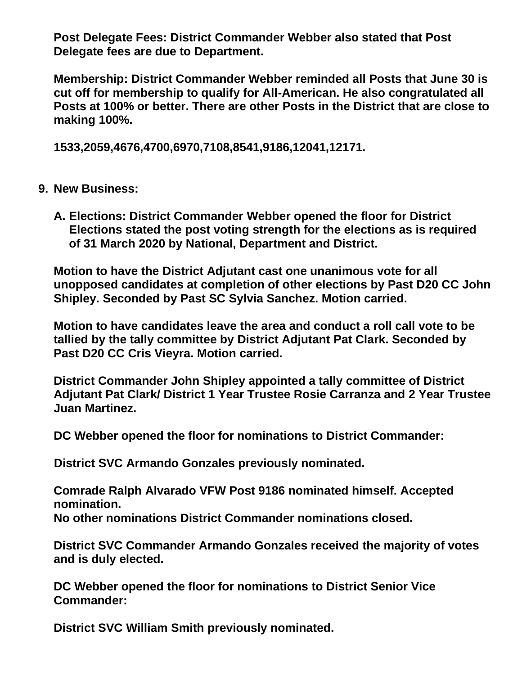**Post Delegate Fees: District Commander Webber also stated that Post Delegate fees are due to Department.**

**Membership: District Commander Webber reminded all Posts that June 30 is cut off for membership to qualify for All-American. He also congratulated all Posts at 100% or better. There are other Posts in the District that are close to making 100%.**

**1533,2059,4676,4700,6970,7108,8541,9186,12041,12171.**

## **9. New Business:**

**A. Elections: District Commander Webber opened the floor for District Elections stated the post voting strength for the elections as is required of 31 March 2020 by National, Department and District.**

**Motion to have the District Adjutant cast one unanimous vote for all unopposed candidates at completion of other elections by Past D20 CC John Shipley. Seconded by Past SC Sylvia Sanchez. Motion carried.**

**Motion to have candidates leave the area and conduct a roll call vote to be tallied by the tally committee by District Adjutant Pat Clark. Seconded by Past D20 CC Cris Vieyra. Motion carried.**

**District Commander John Shipley appointed a tally committee of District Adjutant Pat Clark/ District 1 Year Trustee Rosie Carranza and 2 Year Trustee Juan Martinez.**

**DC Webber opened the floor for nominations to District Commander:** 

 **District SVC Armando Gonzales previously nominated.**

**Comrade Ralph Alvarado VFW Post 9186 nominated himself. Accepted nomination. No other nominations District Commander nominations closed.**

**District SVC Commander Armando Gonzales received the majority of votes and is duly elected.**

**DC Webber opened the floor for nominations to District Senior Vice Commander:**

**District SVC William Smith previously nominated.**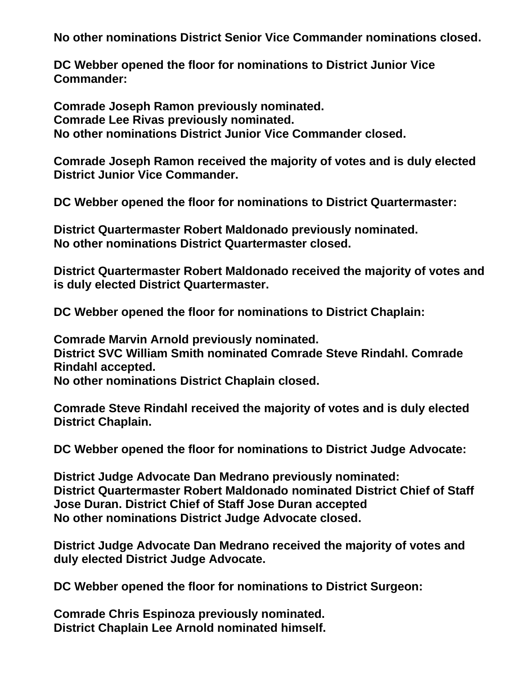**No other nominations District Senior Vice Commander nominations closed.**

**DC Webber opened the floor for nominations to District Junior Vice Commander:** 

**Comrade Joseph Ramon previously nominated. Comrade Lee Rivas previously nominated. No other nominations District Junior Vice Commander closed.**

**Comrade Joseph Ramon received the majority of votes and is duly elected District Junior Vice Commander.**

**DC Webber opened the floor for nominations to District Quartermaster:**

**District Quartermaster Robert Maldonado previously nominated. No other nominations District Quartermaster closed.**

**District Quartermaster Robert Maldonado received the majority of votes and is duly elected District Quartermaster.**

**DC Webber opened the floor for nominations to District Chaplain:**

**Comrade Marvin Arnold previously nominated. District SVC William Smith nominated Comrade Steve Rindahl. Comrade Rindahl accepted.**

**No other nominations District Chaplain closed.**

**Comrade Steve Rindahl received the majority of votes and is duly elected District Chaplain.**

**DC Webber opened the floor for nominations to District Judge Advocate:**

**District Judge Advocate Dan Medrano previously nominated: District Quartermaster Robert Maldonado nominated District Chief of Staff Jose Duran. District Chief of Staff Jose Duran accepted No other nominations District Judge Advocate closed.**

**District Judge Advocate Dan Medrano received the majority of votes and duly elected District Judge Advocate.**

**DC Webber opened the floor for nominations to District Surgeon:**

**Comrade Chris Espinoza previously nominated. District Chaplain Lee Arnold nominated himself.**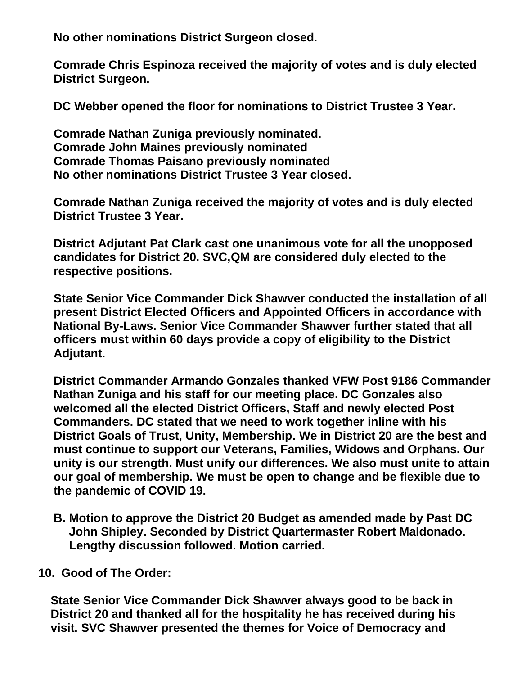**No other nominations District Surgeon closed.**

**Comrade Chris Espinoza received the majority of votes and is duly elected District Surgeon.**

**DC Webber opened the floor for nominations to District Trustee 3 Year.**

**Comrade Nathan Zuniga previously nominated. Comrade John Maines previously nominated Comrade Thomas Paisano previously nominated No other nominations District Trustee 3 Year closed.**

**Comrade Nathan Zuniga received the majority of votes and is duly elected District Trustee 3 Year.**

**District Adjutant Pat Clark cast one unanimous vote for all the unopposed candidates for District 20. SVC,QM are considered duly elected to the respective positions.**

**State Senior Vice Commander Dick Shawver conducted the installation of all present District Elected Officers and Appointed Officers in accordance with National By-Laws. Senior Vice Commander Shawver further stated that all officers must within 60 days provide a copy of eligibility to the District Adjutant.**

**District Commander Armando Gonzales thanked VFW Post 9186 Commander Nathan Zuniga and his staff for our meeting place. DC Gonzales also welcomed all the elected District Officers, Staff and newly elected Post Commanders. DC stated that we need to work together inline with his District Goals of Trust, Unity, Membership. We in District 20 are the best and must continue to support our Veterans, Families, Widows and Orphans. Our unity is our strength. Must unify our differences. We also must unite to attain our goal of membership. We must be open to change and be flexible due to the pandemic of COVID 19.**

**B. Motion to approve the District 20 Budget as amended made by Past DC John Shipley. Seconded by District Quartermaster Robert Maldonado. Lengthy discussion followed. Motion carried.**

**10. Good of The Order:**

 **State Senior Vice Commander Dick Shawver always good to be back in District 20 and thanked all for the hospitality he has received during his visit. SVC Shawver presented the themes for Voice of Democracy and**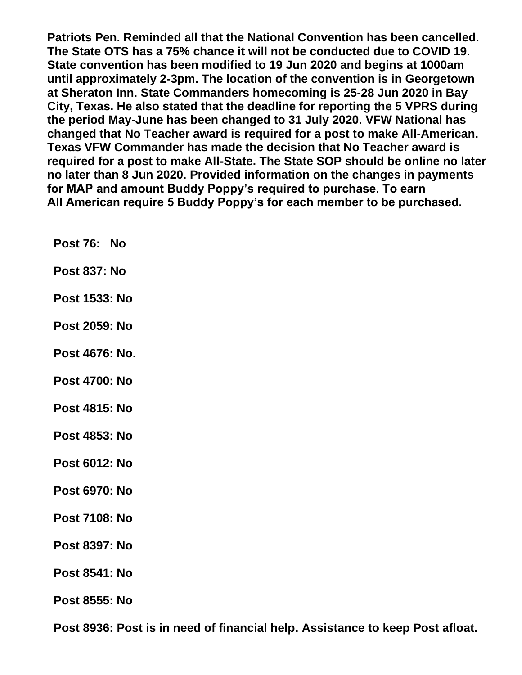**Patriots Pen. Reminded all that the National Convention has been cancelled. The State OTS has a 75% chance it will not be conducted due to COVID 19. State convention has been modified to 19 Jun 2020 and begins at 1000am until approximately 2-3pm. The location of the convention is in Georgetown at Sheraton Inn. State Commanders homecoming is 25-28 Jun 2020 in Bay City, Texas. He also stated that the deadline for reporting the 5 VPRS during the period May-June has been changed to 31 July 2020. VFW National has changed that No Teacher award is required for a post to make All-American. Texas VFW Commander has made the decision that No Teacher award is required for a post to make All-State. The State SOP should be online no later no later than 8 Jun 2020. Provided information on the changes in payments for MAP and amount Buddy Poppy's required to purchase. To earn All American require 5 Buddy Poppy's for each member to be purchased.**

- **Post 76: No**
- **Post 837: No**
- **Post 1533: No**
- **Post 2059: No**
- **Post 4676: No.**
- **Post 4700: No**
- **Post 4815: No**
- **Post 4853: No**
- **Post 6012: No**
- **Post 6970: No**
- **Post 7108: No**
- **Post 8397: No**
- **Post 8541: No**
- **Post 8555: No**

**Post 8936: Post is in need of financial help. Assistance to keep Post afloat.**